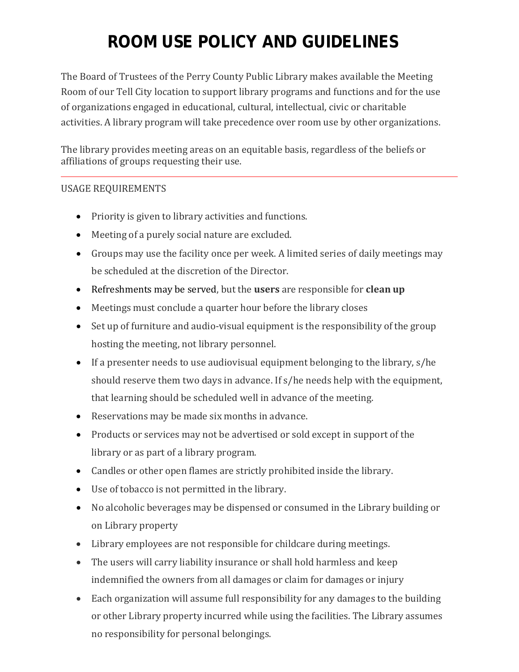# **ROOM USE POLICY AND GUIDELINES**

The Board of Trustees of the Perry County Public Library makes available the Meeting Room of our Tell City location to support library programs and functions and for the use of organizations engaged in educational, cultural, intellectual, civic or charitable activities. A library program will take precedence over room use by other organizations.

The library provides meeting areas on an equitable basis, regardless of the beliefs or affiliations of groups requesting their use.

# USAGE REQUIREMENTS

- Priority is given to library activities and functions.
- Meeting of a purely social nature are excluded.
- Groups may use the facility once per week. A limited series of daily meetings may be scheduled at the discretion of the Director.
- Refreshments may be served, but the **users** are responsible for **clean up**
- Meetings must conclude a quarter hour before the library closes
- Set up of furniture and audio-visual equipment is the responsibility of the group hosting the meeting, not library personnel.
- If a presenter needs to use audiovisual equipment belonging to the library, s/he should reserve them two days in advance. If s/he needs help with the equipment, that learning should be scheduled well in advance of the meeting.
- Reservations may be made six months in advance.
- Products or services may not be advertised or sold except in support of the library or as part of a library program.
- Candles or other open flames are strictly prohibited inside the library.
- Use of tobacco is not permitted in the library.
- No alcoholic beverages may be dispensed or consumed in the Library building or on Library property
- Library employees are not responsible for childcare during meetings.
- The users will carry liability insurance or shall hold harmless and keep indemnified the owners from all damages or claim for damages or injury
- Each organization will assume full responsibility for any damages to the building or other Library property incurred while using the facilities. The Library assumes no responsibility for personal belongings.